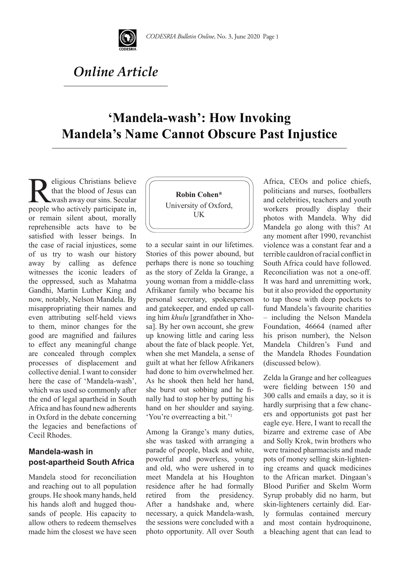

# *Online Article*

## **'Mandela-wash': How Invoking Mandela's Name Cannot Obscure Past Injustice**

**Religious Christians believe**<br>that the blood of Jesus can<br>people who actively participate in, that the blood of Jesus can wash away our sins. Secular or remain silent about, morally reprehensible acts have to be satisfied with lesser beings. In the case of racial injustices, some of us try to wash our history away by calling as defence witnesses the iconic leaders of the oppressed, such as Mahatma Gandhi, Martin Luther King and now, notably, Nelson Mandela. By misappropriating their names and even attributing self-held views to them, minor changes for the good are magnified and failures to effect any meaningful change are concealed through complex processes of displacement and collective denial. I want to consider here the case of 'Mandela-wash', which was used so commonly after the end of legal apartheid in South Africa and has found new adherents in Oxford in the debate concerning the legacies and benefactions of Cecil Rhodes.

## **Mandela-wash in post-apartheid South Africa**

Mandela stood for reconciliation and reaching out to all population groups. He shook many hands, held his hands aloft and hugged thousands of people. His capacity to allow others to redeem themselves made him the closest we have seen



to a secular saint in our lifetimes. Stories of this power abound, but perhaps there is none so touching as the story of Zelda la Grange, a young woman from a middle-class Afrikaner family who became his personal secretary, spokesperson and gatekeeper, and ended up calling him *khulu* [grandfather in Xhosa]. By her own account, she grew up knowing little and caring less about the fate of black people. Yet, when she met Mandela, a sense of guilt at what her fellow Afrikaners had done to him overwhelmed her. As he shook then held her hand, she burst out sobbing and he finally had to stop her by putting his hand on her shoulder and saying. 'You're overreacting a bit.'1

Among la Grange's many duties, she was tasked with arranging a parade of people, black and white, powerful and powerless, young and old, who were ushered in to meet Mandela at his Houghton residence after he had formally retired from the presidency. After a handshake and, where necessary, a quick Mandela-wash, the sessions were concluded with a photo opportunity. All over South Africa, CEOs and police chiefs, politicians and nurses, footballers and celebrities, teachers and youth workers proudly display their photos with Mandela. Why did Mandela go along with this? At any moment after 1990, revanchist violence was a constant fear and a terrible cauldron of racial conflict in South Africa could have followed. Reconciliation was not a one-off. It was hard and unremitting work, but it also provided the opportunity to tap those with deep pockets to fund Mandela's favourite charities – including the Nelson Mandela Foundation, 46664 (named after his prison number), the Nelson Mandela Children's Fund and the Mandela Rhodes Foundation (discussed below).

Zelda la Grange and her colleagues were fielding between 150 and 300 calls and emails a day, so it is hardly surprising that a few chancers and opportunists got past her eagle eye. Here, I want to recall the bizarre and extreme case of Abe and Solly Krok, twin brothers who were trained pharmacists and made pots of money selling skin-lightening creams and quack medicines to the African market. Dingaan's Blood Purifier and Skelm Worm Syrup probably did no harm, but skin-lighteners certainly did. Early formulas contained mercury and most contain hydroquinone, a bleaching agent that can lead to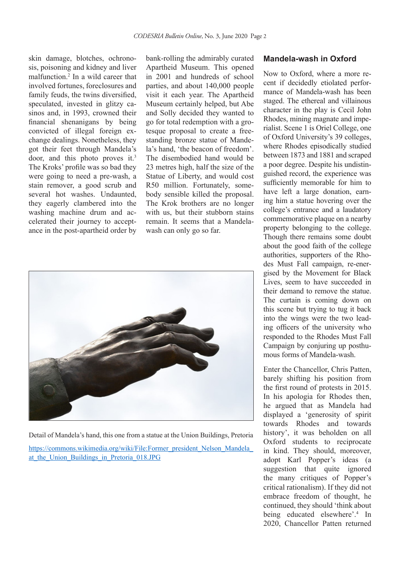skin damage, blotches, ochronosis, poisoning and kidney and liver malfunction.2 In a wild career that involved fortunes, foreclosures and family feuds, the twins diversified, speculated, invested in glitzy casinos and, in 1993, crowned their financial shenanigans by being convicted of illegal foreign exchange dealings. Nonetheless, they got their feet through Mandela's door, and this photo proves it.<sup>3</sup> The Kroks' profile was so bad they were going to need a pre-wash, a stain remover, a good scrub and several hot washes. Undaunted, they eagerly clambered into the washing machine drum and accelerated their journey to acceptance in the post-apartheid order by

bank-rolling the admirably curated Apartheid Museum. This opened in 2001 and hundreds of school parties, and about 140,000 people visit it each year. The Apartheid Museum certainly helped, but Abe and Solly decided they wanted to go for total redemption with a grotesque proposal to create a freestanding bronze statue of Mandela's hand, 'the beacon of freedom'. The disembodied hand would be 23 metres high, half the size of the Statue of Liberty, and would cost R50 million. Fortunately, somebody sensible killed the proposal. The Krok brothers are no longer with us, but their stubborn stains remain. It seems that a Mandelawash can only go so far.



Detail of Mandela's hand, this one from a statue at the Union Buildings, Pretoria

https://commons.wikimedia.org/wiki/File:Former\_president\_Nelson\_Mandela\_ at the Union Buildings in Pretoria 018.JPG

#### **Mandela-wash in Oxford**

Now to Oxford, where a more recent if decidedly etiolated performance of Mandela-wash has been staged. The ethereal and villainous character in the play is Cecil John Rhodes, mining magnate and imperialist. Scene 1 is Oriel College, one of Oxford University's 39 colleges, where Rhodes episodically studied between 1873 and 1881 and scraped a poor degree. Despite his undistinguished record, the experience was sufficiently memorable for him to have left a large donation, earning him a statue hovering over the college's entrance and a laudatory commemorative plaque on a nearby property belonging to the college. Though there remains some doubt about the good faith of the college authorities, supporters of the Rhodes Must Fall campaign, re-energised by the Movement for Black Lives, seem to have succeeded in their demand to remove the statue. The curtain is coming down on this scene but trying to tug it back into the wings were the two leading officers of the university who responded to the Rhodes Must Fall Campaign by conjuring up posthumous forms of Mandela-wash.

Enter the Chancellor, Chris Patten, barely shifting his position from the first round of protests in 2015. In his apologia for Rhodes then, he argued that as Mandela had displayed a 'generosity of spirit towards Rhodes and towards history', it was beholden on all Oxford students to reciprocate in kind. They should, moreover, adopt Karl Popper's ideas (a suggestion that quite ignored the many critiques of Popper's critical rationalism). If they did not embrace freedom of thought, he continued, they should 'think about being educated elsewhere'.4 In 2020, Chancellor Patten returned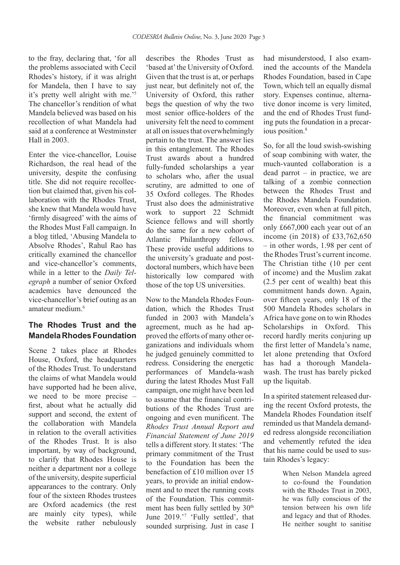to the fray, declaring that, 'for all the problems associated with Cecil Rhodes's history, if it was alright for Mandela, then I have to say it's pretty well alright with me.'<sup>5</sup> The chancellor's rendition of what Mandela believed was based on his recollection of what Mandela had said at a conference at Westminster Hall in 2003.

Enter the vice-chancellor, Louise Richardson, the real head of the university, despite the confusing title. She did not require recollection but claimed that, given his collaboration with the Rhodes Trust, she knew that Mandela would have 'firmly disagreed' with the aims of the Rhodes Must Fall campaign. In a blog titled, 'Abusing Mandela to Absolve Rhodes', Rahul Rao has critically examined the chancellor and vice-chancellor's comments, while in a letter to the *Daily Telegraph* a number of senior Oxford academics have denounced the vice-chancellor's brief outing as an amateur medium.6

## **The Rhodes Trust and the Mandela Rhodes Foundation**

Scene 2 takes place at Rhodes House, Oxford, the headquarters of the Rhodes Trust. To understand the claims of what Mandela would have supported had he been alive, we need to be more precise – first, about what he actually did support and second, the extent of the collaboration with Mandela in relation to the overall activities of the Rhodes Trust. It is also important, by way of background, to clarify that Rhodes House is neither a department nor a college of the university, despite superficial appearances to the contrary. Only four of the sixteen Rhodes trustees are Oxford academics (the rest are mainly city types), while the website rather nebulously

describes the Rhodes Trust as 'based at' the University of Oxford. Given that the trust is at, or perhaps just near, but definitely not of, the University of Oxford, this rather begs the question of why the two most senior office-holders of the university felt the need to comment at all on issues that overwhelmingly pertain to the trust. The answer lies in this entanglement. The Rhodes Trust awards about a hundred fully-funded scholarships a year to scholars who, after the usual scrutiny, are admitted to one of 35 Oxford colleges. The Rhodes Trust also does the administrative work to support 22 Schmidt Science fellows and will shortly do the same for a new cohort of Atlantic Philanthropy fellows These provide useful additions to the university's graduate and postdoctoral numbers, which have been historically low compared with those of the top US universities.

Now to the Mandela Rhodes Foundation, which the Rhodes Trust funded in 2003 with Mandela's agreement, much as he had approved the efforts of many other organizations and individuals whom he judged genuinely committed to redress. Considering the energetic performances of Mandela-wash during the latest Rhodes Must Fall campaign, one might have been led to assume that the financial contributions of the Rhodes Trust are ongoing and even munificent. The *Rhodes Trust Annual Report and Financial Statement of June 2019*  tells a different story. It states: 'The primary commitment of the Trust to the Foundation has been the benefaction of £10 million over 15 years, to provide an initial endowment and to meet the running costs of the Foundation. This commitment has been fully settled by 30<sup>th</sup> June 2019.'7 'Fully settled', that sounded surprising. Just in case I

had misunderstood, I also examined the accounts of the Mandela Rhodes Foundation, based in Cape Town, which tell an equally dismal story. Expenses continue, alternative donor income is very limited, and the end of Rhodes Trust funding puts the foundation in a precarious position.<sup>8</sup>

So, for all the loud swish-swishing of soap combining with water, the much-vaunted collaboration is a dead parrot – in practice, we are talking of a zombie connection between the Rhodes Trust and the Rhodes Mandela Foundation. Moreover, even when at full pitch, the financial commitment was only £667,000 each year out of an income (in 2018) of £33,762,650 – in other words, 1.98 per cent of the Rhodes Trust's current income. The Christian tithe (10 per cent of income) and the Muslim zakat (2.5 per cent of wealth) beat this commitment hands down. Again, over fifteen years, only 18 of the 500 Mandela Rhodes scholars in Africa have gone on to win Rhodes Scholarships in Oxford. This record hardly merits conjuring up the first letter of Mandela's name, let alone pretending that Oxford has had a thorough Mandelawash. The trust has barely picked up the liquitab.

In a spirited statement released during the recent Oxford protests, the Mandela Rhodes Foundation itself reminded us that Mandela demanded redress alongside reconciliation and vehemently refuted the idea that his name could be used to sustain Rhodes's legacy:

> When Nelson Mandela agreed to co-found the Foundation with the Rhodes Trust in 2003, he was fully conscious of the tension between his own life and legacy and that of Rhodes. He neither sought to sanitise